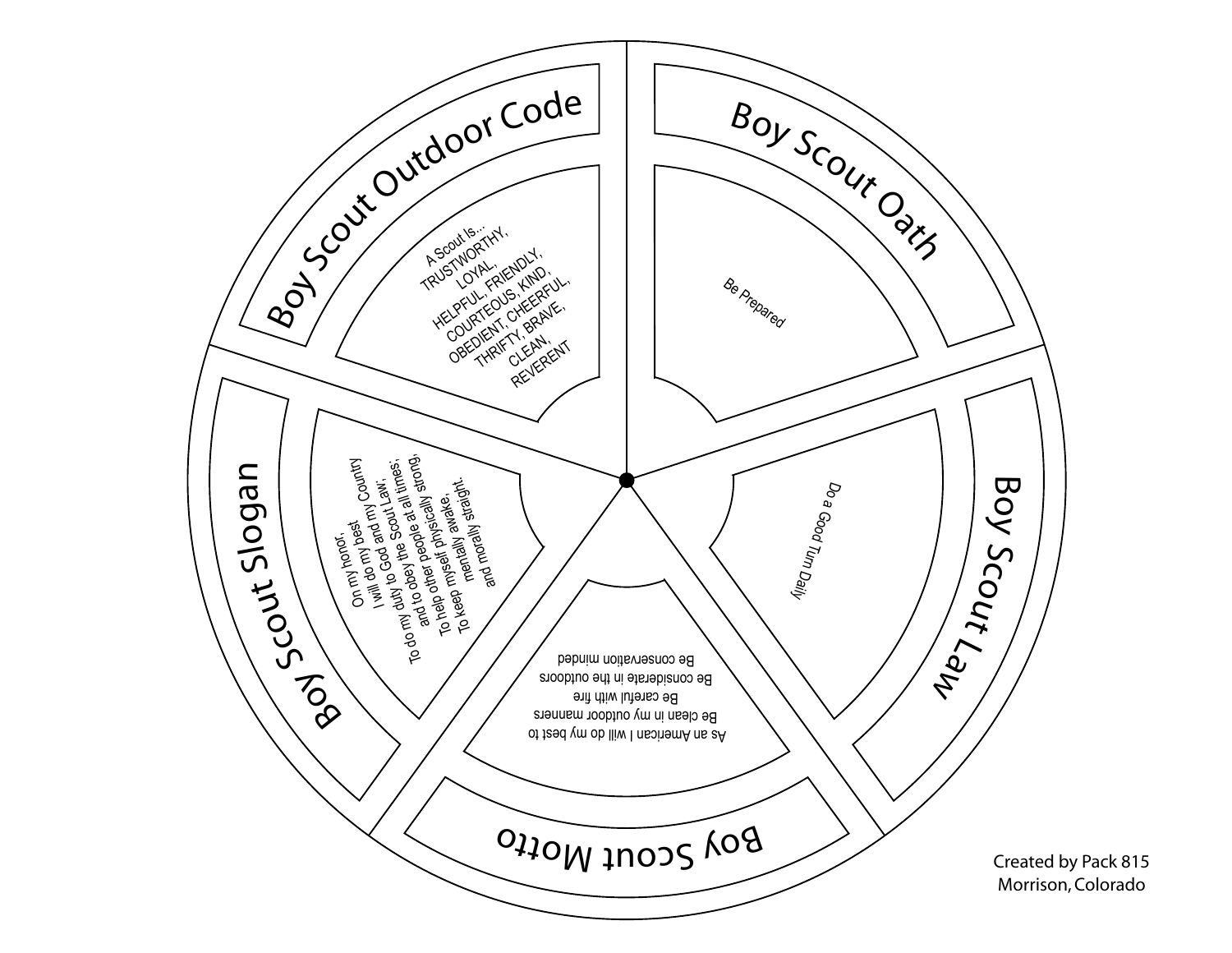